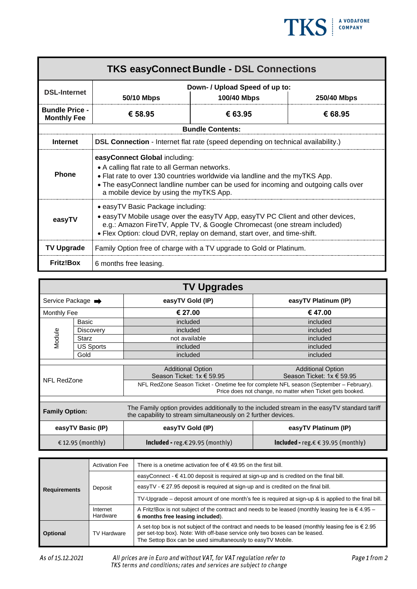

| <b>TKS easyConnect Bundle - DSL Connections</b> |                                                                                                                                                                                                                                                                                                |                         |             |  |
|-------------------------------------------------|------------------------------------------------------------------------------------------------------------------------------------------------------------------------------------------------------------------------------------------------------------------------------------------------|-------------------------|-------------|--|
| <b>DSL-Internet</b>                             | Down- / Upload Speed of up to:<br>100/40 Mbps<br>50/10 Mbps                                                                                                                                                                                                                                    |                         | 250/40 Mbps |  |
| <b>Bundle Price -</b><br><b>Monthly Fee</b>     | € 58.95                                                                                                                                                                                                                                                                                        | € 63.95                 | € 68.95     |  |
|                                                 |                                                                                                                                                                                                                                                                                                | <b>Bundle Contents:</b> |             |  |
| <b>Internet</b>                                 | <b>DSL Connection</b> - Internet flat rate (speed depending on technical availability.)                                                                                                                                                                                                        |                         |             |  |
| <b>Phone</b>                                    | easyConnect Global including:<br>• A calling flat rate to all German networks.<br>• Flat rate to over 130 countries worldwide via landline and the myTKS App.<br>• The easyConnect landline number can be used for incoming and outgoing calls over<br>a mobile device by using the myTKS App. |                         |             |  |
| easyTV                                          | • easyTV Basic Package including:<br>• easyTV Mobile usage over the easyTV App, easyTV PC Client and other devices,<br>e.g.: Amazon FireTV, Apple TV, & Google Chromecast (one stream included)<br>• Flex Option: cloud DVR, replay on demand, start over, and time-shift.                     |                         |             |  |
| <b>TV Upgrade</b>                               | Family Option free of charge with a TV upgrade to Gold or Platinum.                                                                                                                                                                                                                            |                         |             |  |
| <b>Fritz!Box</b>                                | 6 months free leasing.                                                                                                                                                                                                                                                                         |                         |             |  |

| <b>TV Upgrades</b>            |                  |                                                                                                                                                               |                                               |  |
|-------------------------------|------------------|---------------------------------------------------------------------------------------------------------------------------------------------------------------|-----------------------------------------------|--|
| Service Package $\rightarrow$ |                  | easyTV Gold (IP)                                                                                                                                              | easyTV Platinum (IP)                          |  |
| Monthly Fee                   |                  | € 27.00                                                                                                                                                       | € 47.00                                       |  |
| Module                        | Basic            | included                                                                                                                                                      | included                                      |  |
|                               | <b>Discovery</b> | included                                                                                                                                                      | included                                      |  |
|                               | Starz            | not available                                                                                                                                                 | included                                      |  |
|                               | <b>US Sports</b> | included                                                                                                                                                      | included                                      |  |
|                               | Gold             | included                                                                                                                                                      | included                                      |  |
|                               |                  |                                                                                                                                                               |                                               |  |
|                               |                  | <b>Additional Option</b>                                                                                                                                      | <b>Additional Option</b>                      |  |
|                               |                  | Season Ticket: 1x € 59.95                                                                                                                                     | Season Ticket: 1x € 59.95                     |  |
| NFL RedZone                   |                  | NFL RedZone Season Ticket - Onetime fee for complete NFL season (September – February).<br>Price does not change, no matter when Ticket gets booked.          |                                               |  |
|                               |                  |                                                                                                                                                               |                                               |  |
| <b>Family Option:</b>         |                  | The Family option provides additionally to the included stream in the easyTV standard tariff<br>the capability to stream simultaneously on 2 further devices. |                                               |  |
| easyTV Basic (IP)             |                  | easyTV Gold (IP)                                                                                                                                              | easyTV Platinum (IP)                          |  |
| € 12.95 (monthly)             |                  | <b>Included -</b> reg.€ 29.95 (monthly)                                                                                                                       | <b>Included -</b> reg.€ $\in$ 39.95 (monthly) |  |

| <b>Requirements</b> | <b>Activation Fee</b>                                                                                                                                                                                                                                                           | There is a onetime activation fee of $\epsilon$ 49.95 on the first bill.                                                                   |  |
|---------------------|---------------------------------------------------------------------------------------------------------------------------------------------------------------------------------------------------------------------------------------------------------------------------------|--------------------------------------------------------------------------------------------------------------------------------------------|--|
|                     | Deposit                                                                                                                                                                                                                                                                         | easyConnect - $\epsilon$ 41.00 deposit is required at sign-up and is credited on the final bill.                                           |  |
|                     |                                                                                                                                                                                                                                                                                 | easyTV - $\in$ 27.95 deposit is required at sign-up and is credited on the final bill.                                                     |  |
|                     |                                                                                                                                                                                                                                                                                 | TV-Upgrade – deposit amount of one month's fee is required at sign-up & is applied to the final bill.                                      |  |
|                     | Internet<br>Hardware                                                                                                                                                                                                                                                            | A Fritz!Box is not subject of the contract and needs to be leased (monthly leasing fee is $\in$ 4.95 –<br>6 months free leasing included). |  |
| <b>Optional</b>     | A set-top box is not subject of the contract and needs to be leased (monthly leasing fee is $\epsilon$ 2.95<br>per set-top box). Note: With off-base service only two boxes can be leased.<br><b>TV Hardware</b><br>The Settop Box can be used simultaneously to easyTV Mobile. |                                                                                                                                            |  |